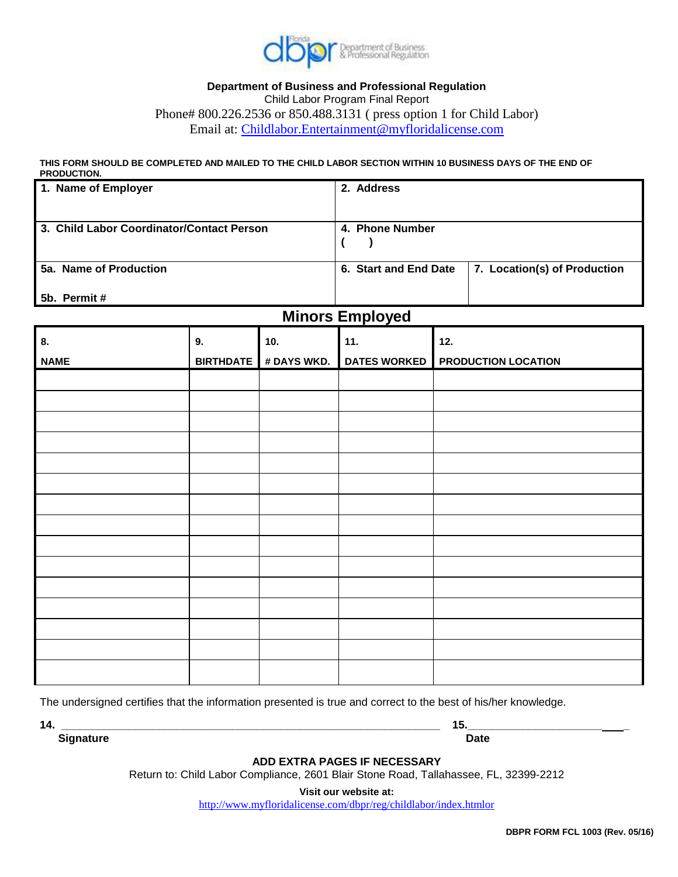

## **Department of Business and Professional Regulation** Child Labor Program Final Report Phone# 800.226.2536 or 850.488.3131 ( press option 1 for Child Labor) Email at: [Childlabor.Entertainment@myfloridalicense.com](mailto:Childlabor.Entertainment@myfloridalicense.com)

**THIS FORM SHOULD BE COMPLETED AND MAILED TO THE CHILD LABOR SECTION WITHIN 10 BUSINESS DAYS OF THE END OF PRODUCTION.**

| 1. Name of Employer                       | 2. Address            |                              |
|-------------------------------------------|-----------------------|------------------------------|
| 3. Child Labor Coordinator/Contact Person | 4. Phone Number       |                              |
| 5a. Name of Production                    | 6. Start and End Date | 7. Location(s) of Production |
| 5b. Permit#                               |                       |                              |

## **Minors Employed**

| 8.          | 9. | 10. | 11. | 12.                                                    |
|-------------|----|-----|-----|--------------------------------------------------------|
| <b>NAME</b> |    |     |     | BIRTHDATE # DAYS WKD. DATES WORKED PRODUCTION LOCATION |
|             |    |     |     |                                                        |
|             |    |     |     |                                                        |
|             |    |     |     |                                                        |
|             |    |     |     |                                                        |
|             |    |     |     |                                                        |
|             |    |     |     |                                                        |
|             |    |     |     |                                                        |
|             |    |     |     |                                                        |
|             |    |     |     |                                                        |
|             |    |     |     |                                                        |
|             |    |     |     |                                                        |
|             |    |     |     |                                                        |
|             |    |     |     |                                                        |
|             |    |     |     |                                                        |
|             |    |     |     |                                                        |

The undersigned certifies that the information presented is true and correct to the best of his/her knowledge.

**14. \_\_\_\_\_\_\_\_\_\_\_\_\_\_\_\_\_\_\_\_\_\_\_\_\_\_\_\_\_\_\_\_\_\_\_\_\_\_\_\_\_\_\_\_\_\_\_\_\_\_\_\_\_\_\_\_\_\_\_\_\_\_ 15.\_\_\_\_\_\_\_\_\_\_\_\_\_\_\_\_\_\_\_\_\_\_ \_**

**Signature Date** 

**ADD EXTRA PAGES IF NECESSARY**

Return to: Child Labor Compliance, 2601 Blair Stone Road, Tallahassee, FL, 32399-2212

**Visit our website at:**

http://www.myfloridalicense.com/dbpr/reg/childlabor/index.htmlor